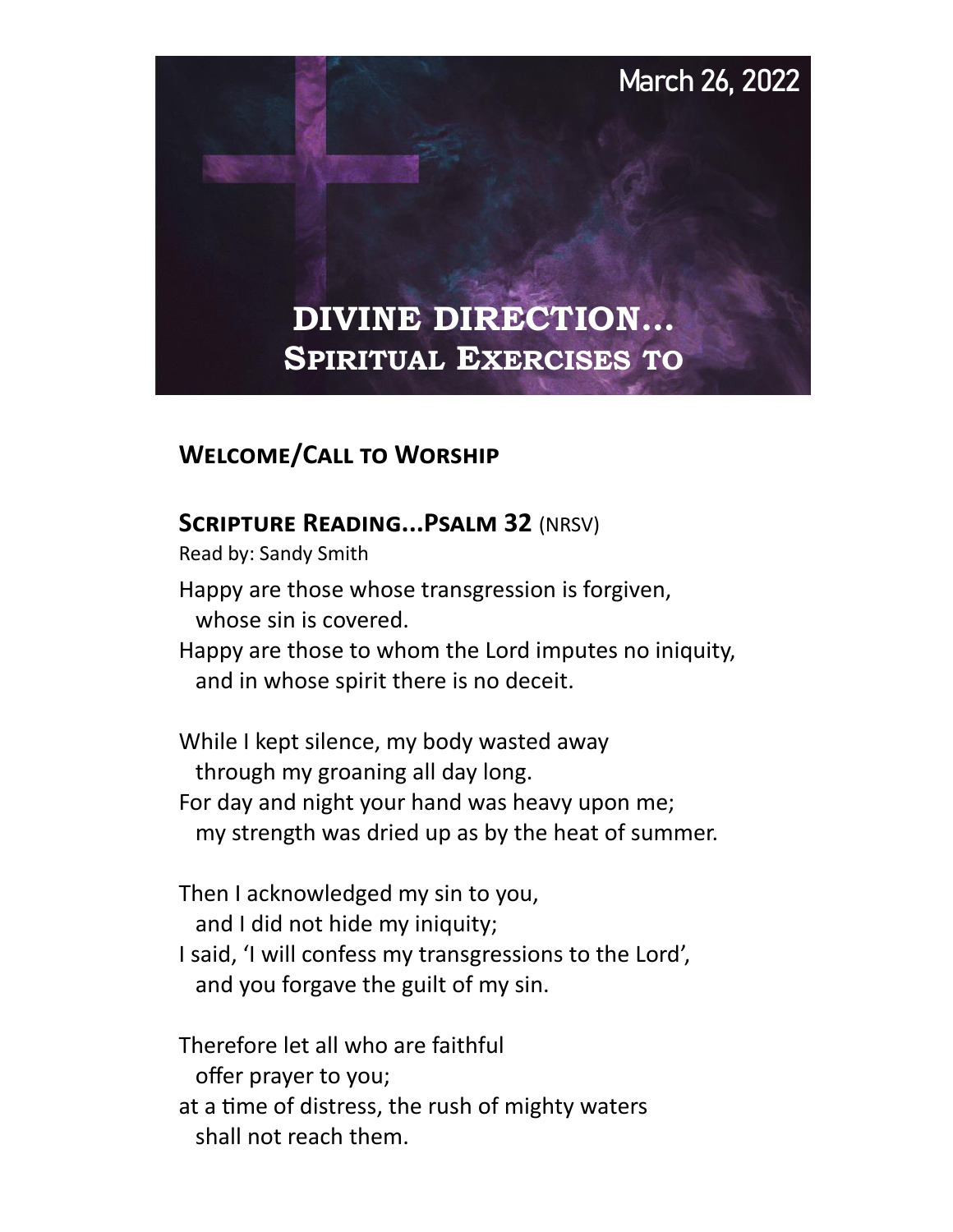

## **Welcome/Call to Worship**

### **Scripture Reading...Psalm 32** (NRSV)

Read by: Sandy Smith

- Happy are those whose transgression is forgiven, whose sin is covered.
- Happy are those to whom the Lord imputes no iniquity, and in whose spirit there is no deceit.

While I kept silence, my body wasted away through my groaning all day long. For day and night your hand was heavy upon me; my strength was dried up as by the heat of summer.

Then I acknowledged my sin to you, and I did not hide my iniquity; I said, 'I will confess my transgressions to the Lord', and you forgave the guilt of my sin.

Therefore let all who are faithful offer prayer to you; at a time of distress, the rush of mighty waters shall not reach them.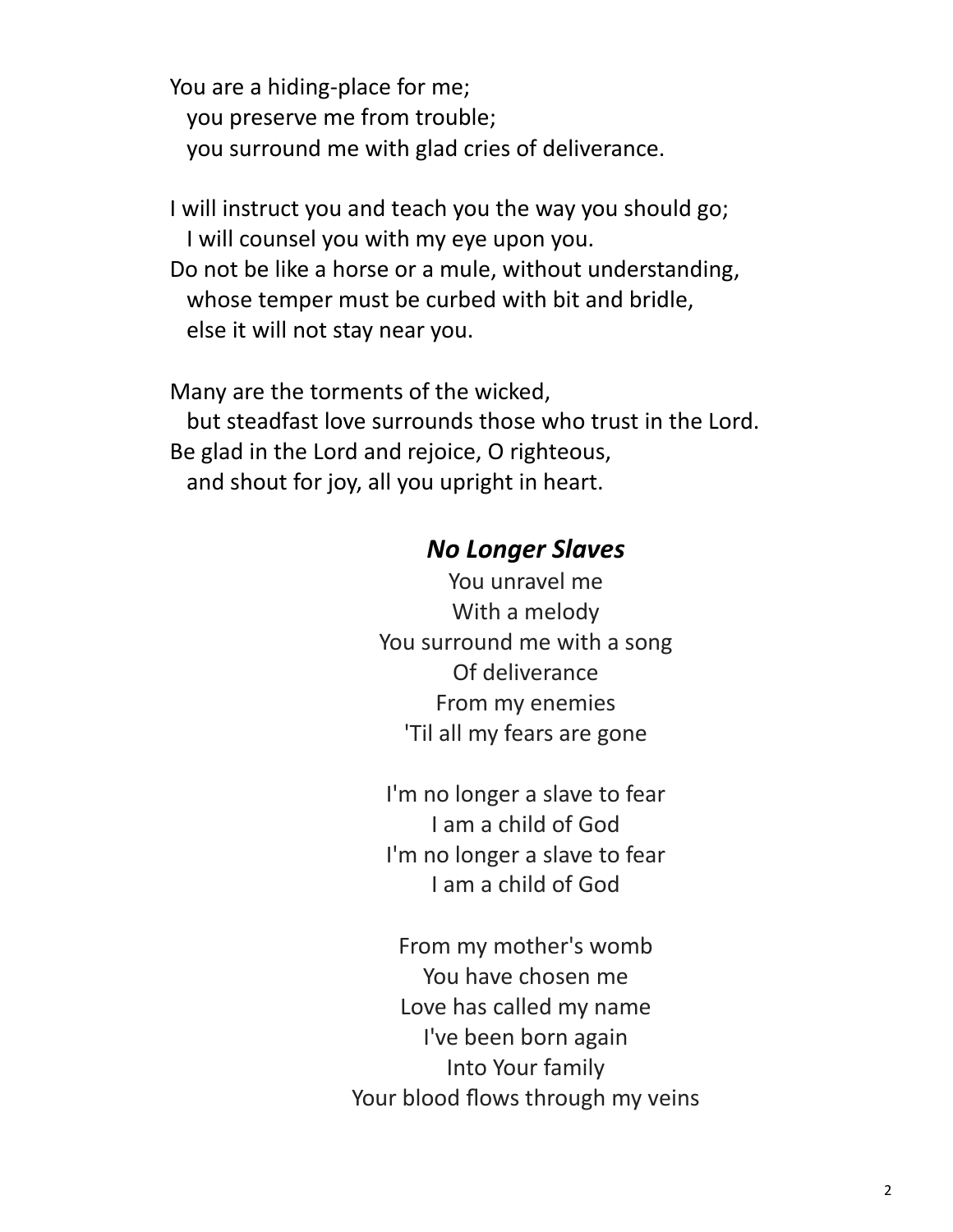You are a hiding-place for me; you preserve me from trouble; you surround me with glad cries of deliverance.

I will instruct you and teach you the way you should go; I will counsel you with my eye upon you. Do not be like a horse or a mule, without understanding, whose temper must be curbed with bit and bridle, else it will not stay near you.

Many are the torments of the wicked, but steadfast love surrounds those who trust in the Lord. Be glad in the Lord and rejoice, O righteous, and shout for joy, all you upright in heart.

#### *No Longer Slaves*

You unravel me With a melody You surround me with a song Of deliverance From my enemies 'Til all my fears are gone

I'm no longer a slave to fear I am a child of God I'm no longer a slave to fear I am a child of God

From my mother's womb You have chosen me Love has called my name I've been born again Into Your family Your blood flows through my veins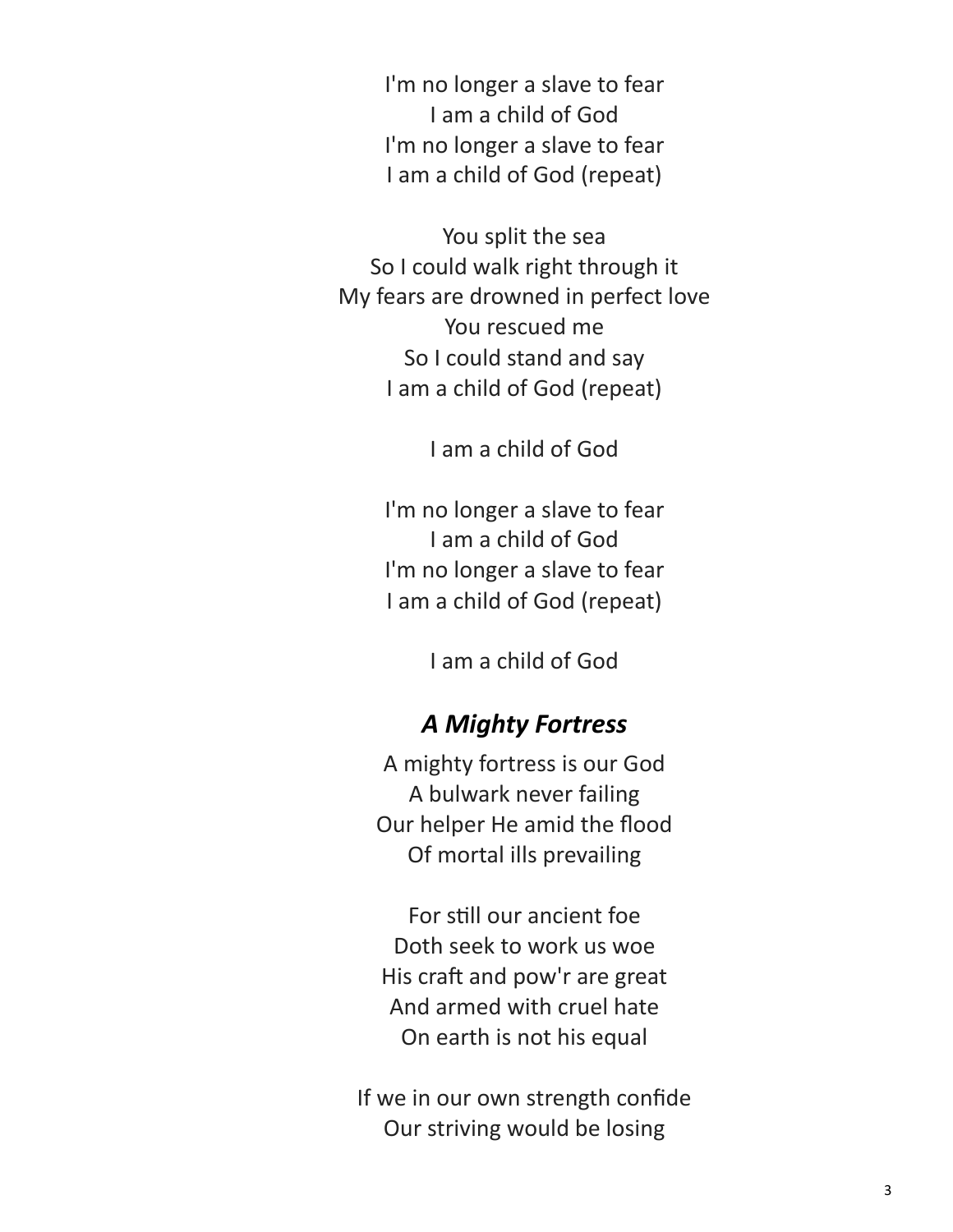I'm no longer a slave to fear I am a child of God I'm no longer a slave to fear I am a child of God (repeat)

You split the sea So I could walk right through it My fears are drowned in perfect love You rescued me So I could stand and say I am a child of God (repeat)

I am a child of God

I'm no longer a slave to fear I am a child of God I'm no longer a slave to fear I am a child of God (repeat)

I am a child of God

## *A Mighty Fortress*

A mighty fortress is our God A bulwark never failing Our helper He amid the flood Of mortal ills prevailing

For still our ancient foe Doth seek to work us woe His craft and pow'r are great And armed with cruel hate On earth is not his equal

If we in our own strength confide Our striving would be losing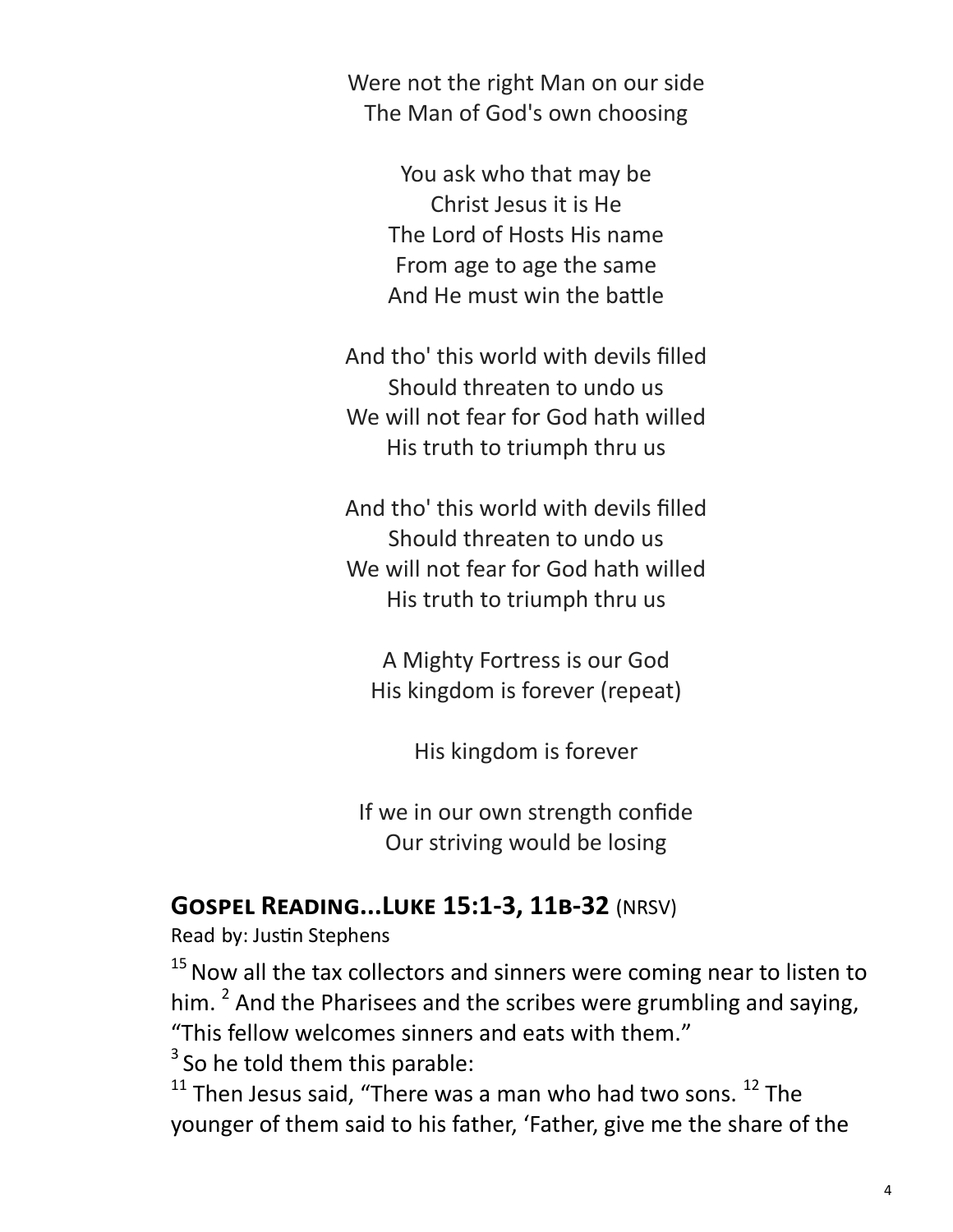Were not the right Man on our side The Man of God's own choosing

> You ask who that may be Christ Jesus it is He The Lord of Hosts His name From age to age the same And He must win the battle

And tho' this world with devils filled Should threaten to undo us We will not fear for God hath willed His truth to triumph thru us

And tho' this world with devils filled Should threaten to undo us We will not fear for God hath willed His truth to triumph thru us

A Mighty Fortress is our God His kingdom is forever (repeat)

His kingdom is forever

If we in our own strength confide Our striving would be losing

#### **Gospel Reading...Luke 15:1-3, 11b-32** (NRSV)

Read by: Justin Stephens

 $15$  Now all the tax collectors and sinners were coming near to listen to him. <sup>2</sup> And the Pharisees and the scribes were grumbling and saying, "This fellow welcomes sinners and eats with them."

 $3$  So he told them this parable:

 $11$  Then Jesus said, "There was a man who had two sons.  $12$  The younger of them said to his father, 'Father, give me the share of the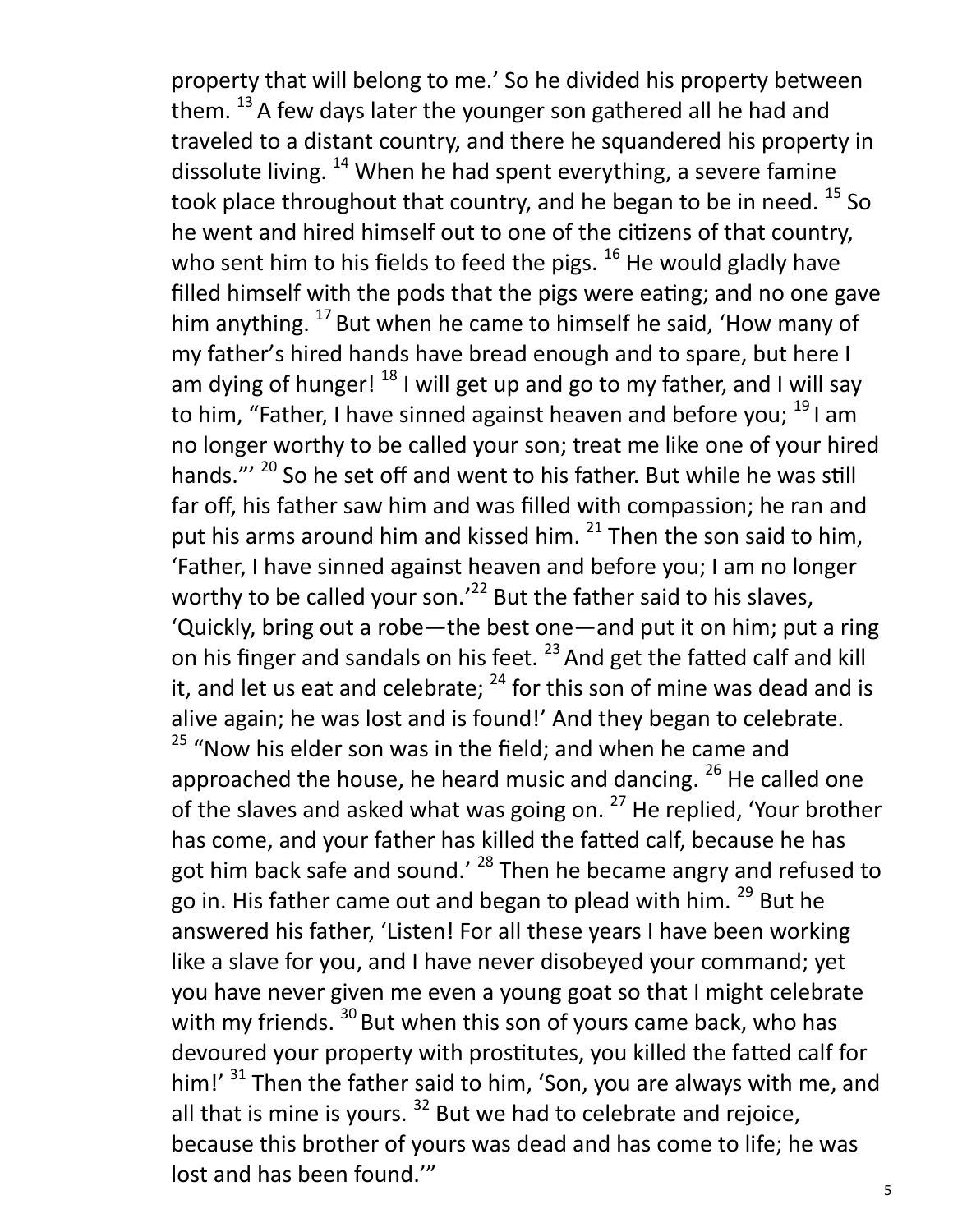property that will belong to me.' So he divided his property between them.  $^{13}$  A few days later the younger son gathered all he had and traveled to a distant country, and there he squandered his property in dissolute living. <sup>14</sup> When he had spent everything, a severe famine took place throughout that country, and he began to be in need.  $^{15}$  So he went and hired himself out to one of the citizens of that country, who sent him to his fields to feed the pigs.  $^{16}$  He would gladly have filled himself with the pods that the pigs were eating; and no one gave him anything. <sup>17</sup> But when he came to himself he said, 'How many of my father's hired hands have bread enough and to spare, but here I am dying of hunger!  $^{18}$  I will get up and go to my father, and I will say to him, "Father, I have sinned against heaven and before you;  $^{19}$  I am no longer worthy to be called your son; treat me like one of your hired hands."<sup>' 20</sup> So he set off and went to his father. But while he was still far off, his father saw him and was filled with compassion; he ran and put his arms around him and kissed him.  $21$  Then the son said to him, 'Father, I have sinned against heaven and before you; I am no longer worthy to be called your son.'<sup>22</sup> But the father said to his slaves, 'Quickly, bring out a robe—the best one—and put it on him; put a ring on his finger and sandals on his feet.  $^{23}$  And get the fatted calf and kill it, and let us eat and celebrate;  $^{24}$  for this son of mine was dead and is alive again; he was lost and is found!' And they began to celebrate.  $25$  "Now his elder son was in the field; and when he came and approached the house, he heard music and dancing.  $26$  He called one of the slaves and asked what was going on.<sup>27</sup> He replied, 'Your brother has come, and your father has killed the fatted calf, because he has got him back safe and sound.' <sup>28</sup> Then he became angry and refused to go in. His father came out and began to plead with him. <sup>29</sup> But he answered his father, 'Listen! For all these years I have been working like a slave for you, and I have never disobeyed your command; yet you have never given me even a young goat so that I might celebrate with my friends. <sup>30</sup> But when this son of yours came back, who has devoured your property with prostitutes, you killed the fatted calf for him!' <sup>31</sup> Then the father said to him, 'Son, you are always with me, and all that is mine is yours.  $32$  But we had to celebrate and rejoice, because this brother of yours was dead and has come to life; he was lost and has been found.'"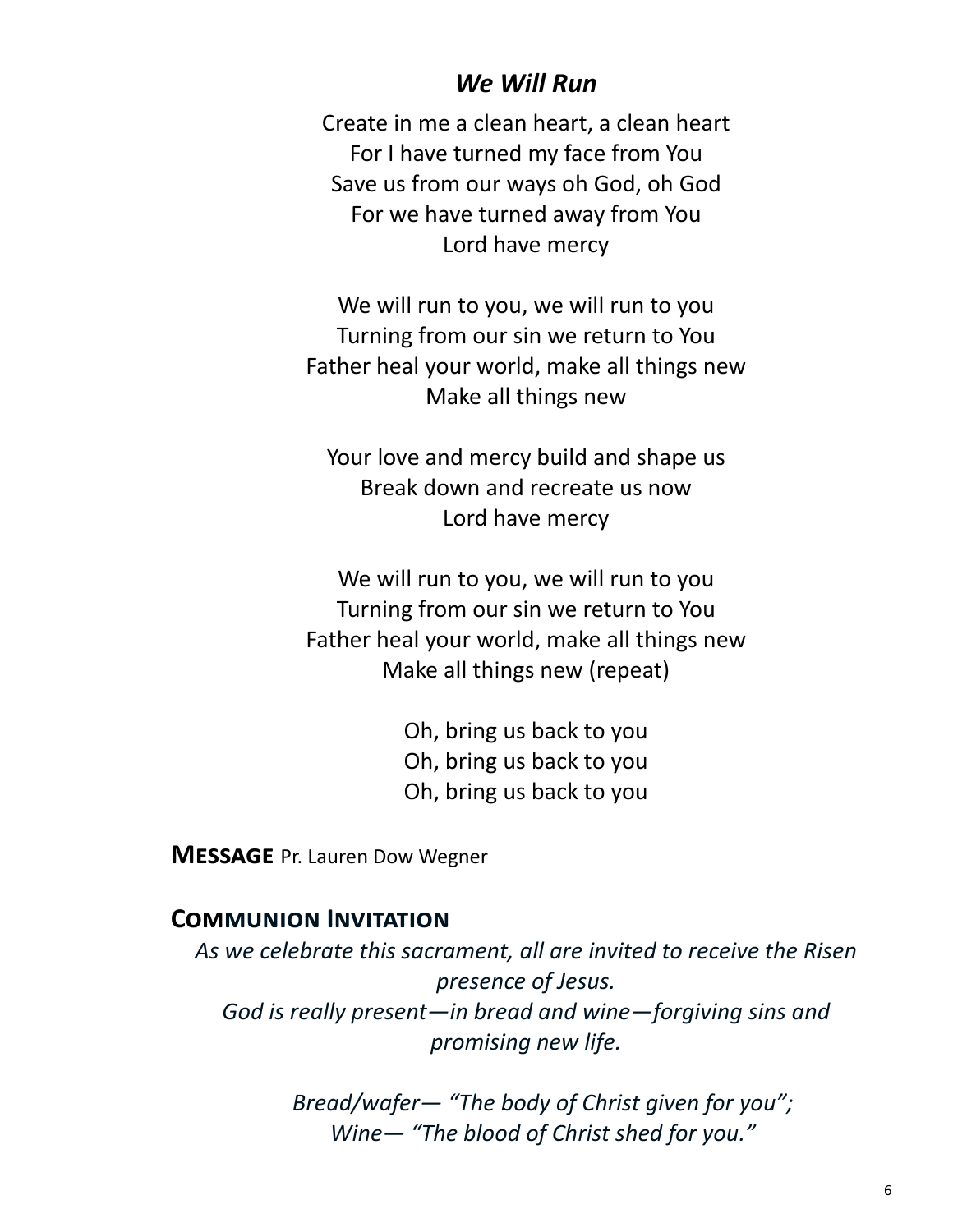## *We Will Run*

Create in me a clean heart, a clean heart For I have turned my face from You Save us from our ways oh God, oh God For we have turned away from You Lord have mercy

We will run to you, we will run to you Turning from our sin we return to You Father heal your world, make all things new Make all things new

Your love and mercy build and shape us Break down and recreate us now Lord have mercy

We will run to you, we will run to you Turning from our sin we return to You Father heal your world, make all things new Make all things new (repeat)

> Oh, bring us back to you Oh, bring us back to you Oh, bring us back to you

**Message** Pr. Lauren Dow Wegner

#### **Communion Invitation**

*As we celebrate this sacrament, all are invited to receive the Risen presence of Jesus. God is really present—in bread and wine—forgiving sins and promising new life.* 

> *Bread/wafer— "The body of Christ given for you"; Wine— "The blood of Christ shed for you."*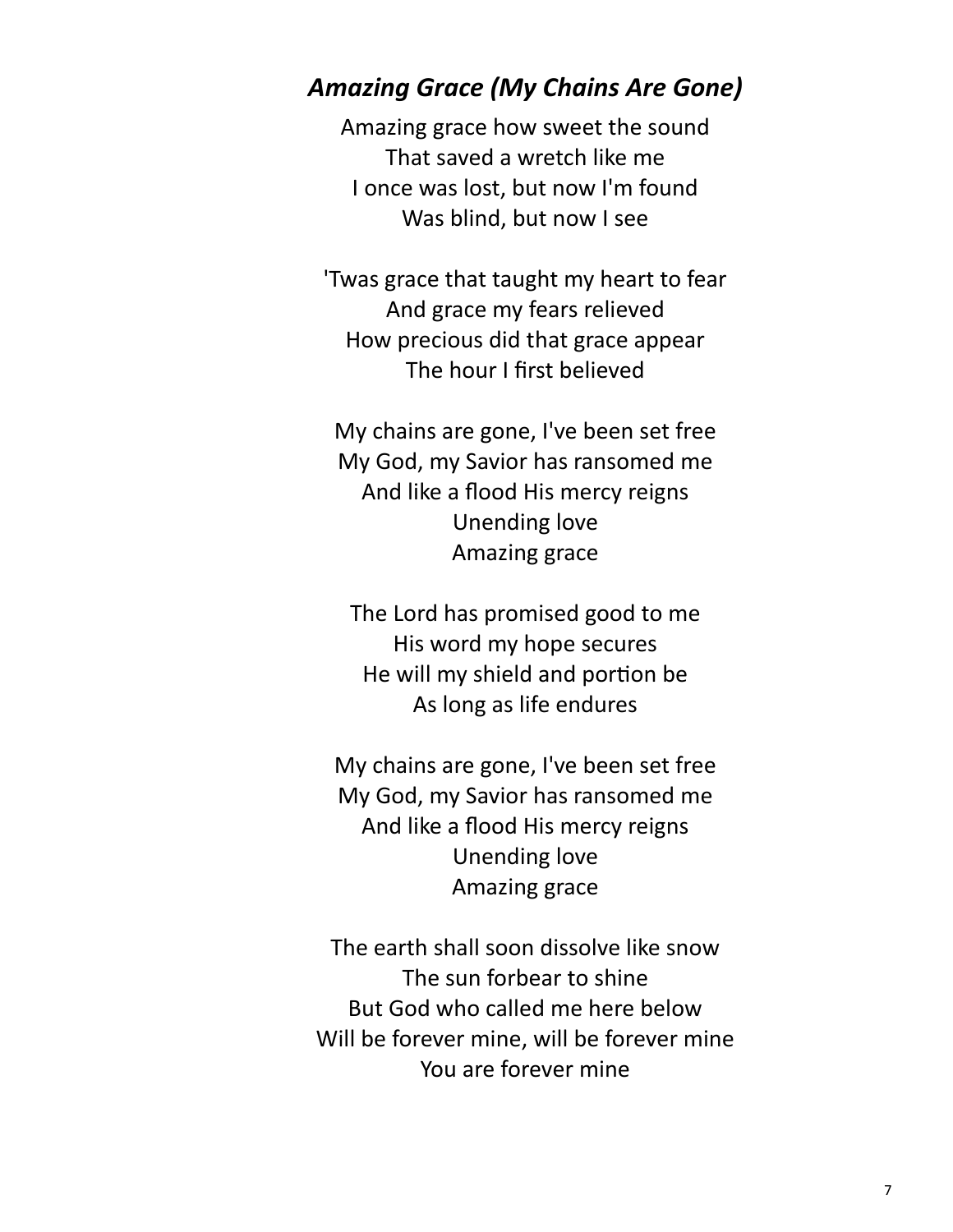### *Amazing Grace (My Chains Are Gone)*

Amazing grace how sweet the sound That saved a wretch like me I once was lost, but now I'm found Was blind, but now I see

'Twas grace that taught my heart to fear And grace my fears relieved How precious did that grace appear The hour I first believed

My chains are gone, I've been set free My God, my Savior has ransomed me And like a flood His mercy reigns Unending love Amazing grace

The Lord has promised good to me His word my hope secures He will my shield and portion be As long as life endures

My chains are gone, I've been set free My God, my Savior has ransomed me And like a flood His mercy reigns Unending love Amazing grace

The earth shall soon dissolve like snow The sun forbear to shine But God who called me here below Will be forever mine, will be forever mine You are forever mine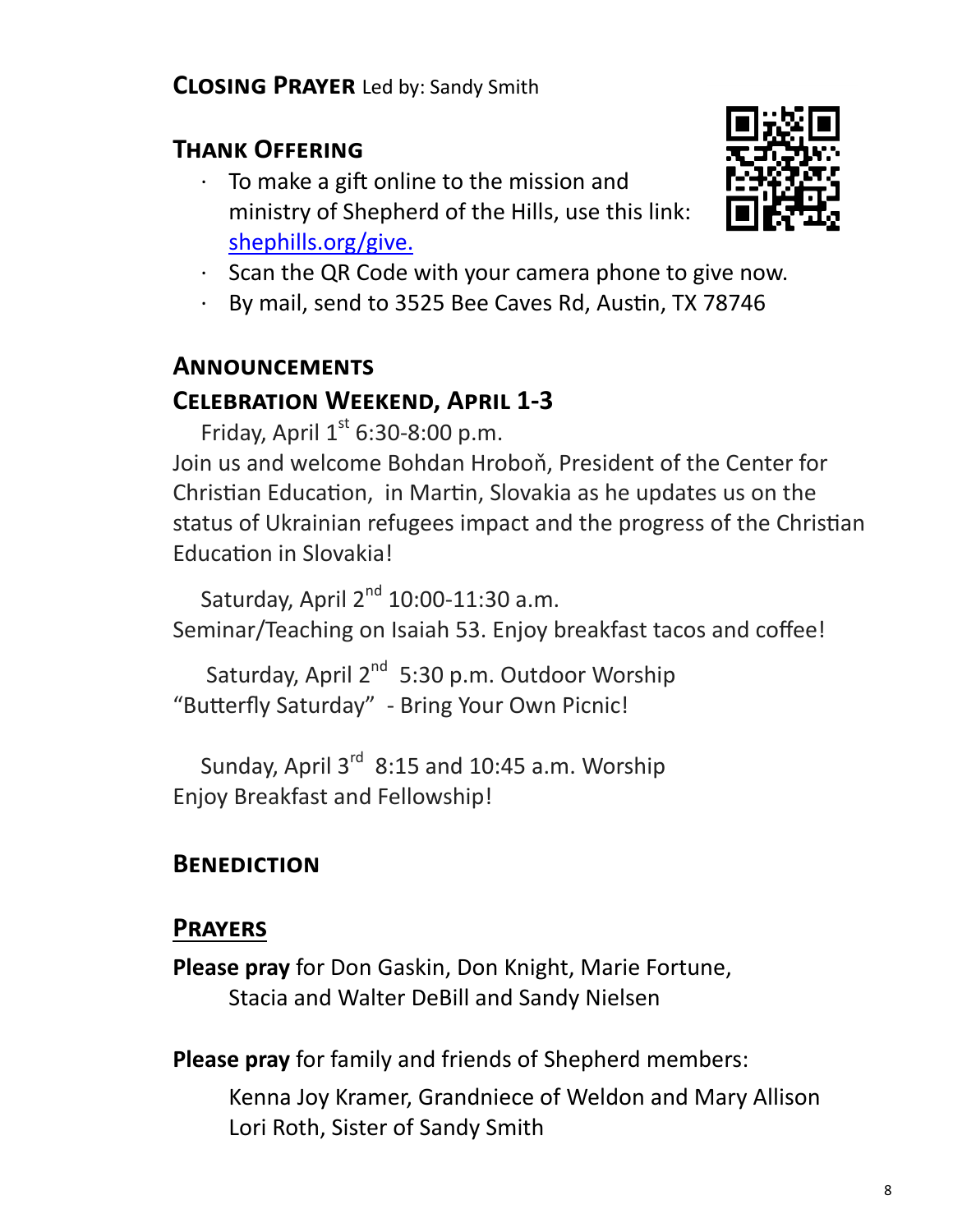## **Closing Prayer** Led by: Sandy Smith

# **Thank Offering**

To make a gift online to the mission and ministry of Shepherd of the Hills, use this link: [shephills.org/give.](https://shephills.org/give/)



- · Scan the QR Code with your camera phone to give now.
- · By mail, send to 3525 Bee Caves Rd, Austin, TX 78746

## **Announcements**

# **Celebration Weekend, April 1-3**

Friday, April  $1<sup>st</sup>$  6:30-8:00 p.m.

Join us and welcome Bohdan Hroboň, President of the Center for Christian Education, in Martin, Slovakia as he updates us on the status of Ukrainian refugees impact and the progress of the Christian Education in Slovakia!

Saturday, April  $2^{nd}$  10:00-11:30 a.m. Seminar/Teaching on Isaiah 53. Enjoy breakfast tacos and coffee!

Saturday, April 2<sup>nd</sup> 5:30 p.m. Outdoor Worship "Butterfly Saturday" - Bring Your Own Picnic!

Sunday, April 3<sup>rd</sup> 8:15 and 10:45 a.m. Worship Enjoy Breakfast and Fellowship!

# **Benediction**

# **Prayers**

**Please pray** for Don Gaskin, Don Knight, Marie Fortune, Stacia and Walter DeBill and Sandy Nielsen

**Please pray** for family and friends of Shepherd members:

Kenna Joy Kramer, Grandniece of Weldon and Mary Allison Lori Roth, Sister of Sandy Smith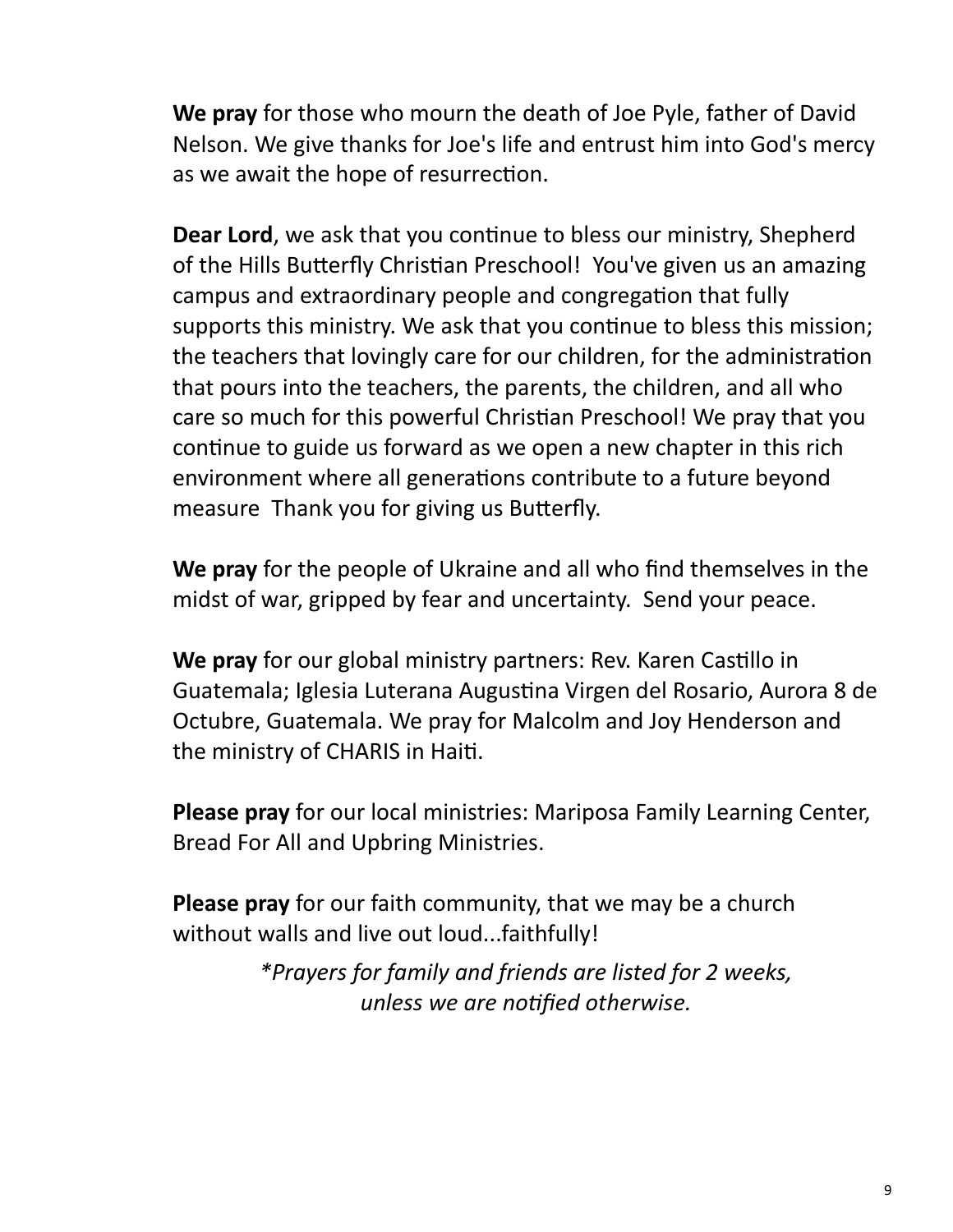**We pray** for those who mourn the death of Joe Pyle, father of David Nelson. We give thanks for Joe's life and entrust him into God's mercy as we await the hope of resurrection.

**Dear Lord**, we ask that you continue to bless our ministry, Shepherd of the Hills Butterfly Christian Preschool! You've given us an amazing campus and extraordinary people and congregation that fully supports this ministry. We ask that you continue to bless this mission; the teachers that lovingly care for our children, for the administration that pours into the teachers, the parents, the children, and all who care so much for this powerful Christian Preschool! We pray that you continue to guide us forward as we open a new chapter in this rich environment where all generations contribute to a future beyond measure Thank you for giving us Butterfly.

**We pray** for the people of Ukraine and all who find themselves in the midst of war, gripped by fear and uncertainty. Send your peace.

**We pray** for our global ministry partners: Rev. Karen Castillo in Guatemala; Iglesia Luterana Augustina Virgen del Rosario, Aurora 8 de Octubre, Guatemala. We pray for Malcolm and Joy Henderson and the ministry of CHARIS in Haiti.

**Please pray** for our local ministries: Mariposa Family Learning Center, Bread For All and Upbring Ministries.

**Please pray** for our faith community, that we may be a church without walls and live out loud...faithfully!

> *\*Prayers for family and friends are listed for 2 weeks, unless we are notified otherwise.*